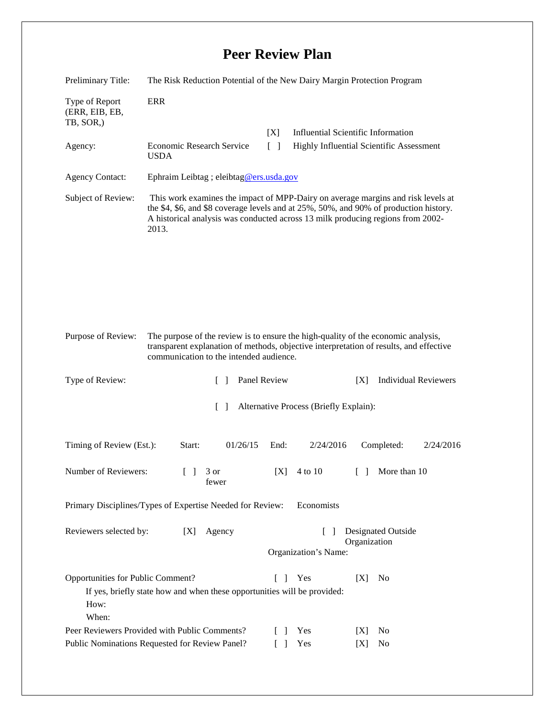## **Peer Review Plan**

| Preliminary Title:                                                                                                                                                                              | The Risk Reduction Potential of the New Dairy Margin Protection Program                                                                                                                                                                                               |                                                                             |                                          |                                           |
|-------------------------------------------------------------------------------------------------------------------------------------------------------------------------------------------------|-----------------------------------------------------------------------------------------------------------------------------------------------------------------------------------------------------------------------------------------------------------------------|-----------------------------------------------------------------------------|------------------------------------------|-------------------------------------------|
| Type of Report<br>(ERR, EIB, EB,<br>TB, SOR,)                                                                                                                                                   | <b>ERR</b>                                                                                                                                                                                                                                                            |                                                                             |                                          |                                           |
|                                                                                                                                                                                                 |                                                                                                                                                                                                                                                                       | [X]                                                                         |                                          | <b>Influential Scientific Information</b> |
| Agency:                                                                                                                                                                                         | Economic Research Service<br><b>USDA</b>                                                                                                                                                                                                                              | $\Box$                                                                      | Highly Influential Scientific Assessment |                                           |
| <b>Agency Contact:</b>                                                                                                                                                                          | Ephraim Leibtag ; eleibtag@ers.usda.gov                                                                                                                                                                                                                               |                                                                             |                                          |                                           |
| Subject of Review:                                                                                                                                                                              | This work examines the impact of MPP-Dairy on average margins and risk levels at<br>the \$4, \$6, and \$8 coverage levels and at 25%, 50%, and 90% of production history.<br>A historical analysis was conducted across 13 milk producing regions from 2002-<br>2013. |                                                                             |                                          |                                           |
|                                                                                                                                                                                                 |                                                                                                                                                                                                                                                                       |                                                                             |                                          |                                           |
|                                                                                                                                                                                                 |                                                                                                                                                                                                                                                                       |                                                                             |                                          |                                           |
| Purpose of Review:                                                                                                                                                                              | The purpose of the review is to ensure the high-quality of the economic analysis,<br>transparent explanation of methods, objective interpretation of results, and effective<br>communication to the intended audience.                                                |                                                                             |                                          |                                           |
| Type of Review:                                                                                                                                                                                 | $\Box$                                                                                                                                                                                                                                                                | Panel Review                                                                |                                          | <b>Individual Reviewers</b><br>[X]        |
| Alternative Process (Briefly Explain):<br>$\lceil \rceil$                                                                                                                                       |                                                                                                                                                                                                                                                                       |                                                                             |                                          |                                           |
| Timing of Review (Est.):                                                                                                                                                                        | Start:<br>01/26/15                                                                                                                                                                                                                                                    | End:                                                                        | 2/24/2016                                | Completed:<br>2/24/2016                   |
| Number of Reviewers:                                                                                                                                                                            | 3 or<br>$\begin{bmatrix} \end{bmatrix}$<br>fewer                                                                                                                                                                                                                      | [X]                                                                         | 4 to 10                                  | More than 10<br>$\Box$                    |
| Primary Disciplines/Types of Expertise Needed for Review:<br>Economists                                                                                                                         |                                                                                                                                                                                                                                                                       |                                                                             |                                          |                                           |
| Reviewers selected by:<br>Agency<br>[X]                                                                                                                                                         |                                                                                                                                                                                                                                                                       | <b>Designated Outside</b><br>$\Box$<br>Organization<br>Organization's Name: |                                          |                                           |
|                                                                                                                                                                                                 |                                                                                                                                                                                                                                                                       |                                                                             |                                          |                                           |
| Opportunities for Public Comment?<br>Yes<br>[X]<br>N <sub>0</sub><br>L<br>$\overline{\phantom{a}}$<br>If yes, briefly state how and when these opportunities will be provided:<br>How:<br>When: |                                                                                                                                                                                                                                                                       |                                                                             |                                          |                                           |
| Peer Reviewers Provided with Public Comments?<br>$\Box$                                                                                                                                         |                                                                                                                                                                                                                                                                       |                                                                             | Yes                                      | N <sub>0</sub><br>[X]                     |
| Public Nominations Requested for Review Panel?                                                                                                                                                  |                                                                                                                                                                                                                                                                       |                                                                             | Yes                                      | No<br>[X]                                 |